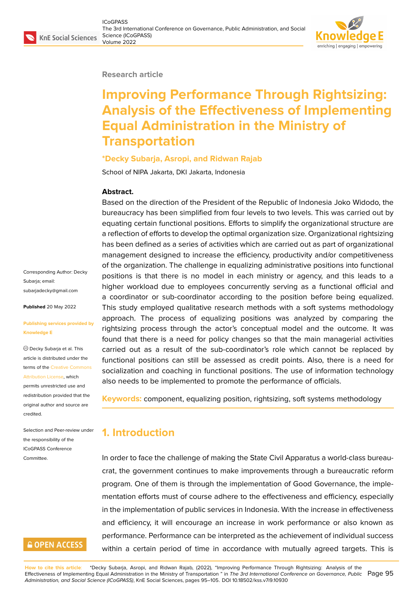

#### **Research article**

# **Improving Performance Through Rightsizing: Analysis of the Effectiveness of Implementing Equal Administration in the Ministry of Transportation**

#### **\*Decky Subarja, Asropi, and Ridwan Rajab**

School of NIPA Jakarta, DKI Jakarta, Indonesia

#### **Abstract.**

Based on the direction of the President of the Republic of Indonesia Joko Widodo, the bureaucracy has been simplified from four levels to two levels. This was carried out by equating certain functional positions. Efforts to simplify the organizational structure are a reflection of efforts to develop the optimal organization size. Organizational rightsizing has been defined as a series of activities which are carried out as part of organizational management designed to increase the efficiency, productivity and/or competitiveness of the organization. The challenge in equalizing administrative positions into functional positions is that there is no model in each ministry or agency, and this leads to a higher workload due to employees concurrently serving as a functional official and a coordinator or sub-coordinator according to the position before being equalized. This study employed qualitative research methods with a soft systems methodology approach. The process of equalizing positions was analyzed by comparing the rightsizing process through the actor's conceptual model and the outcome. It was found that there is a need for policy changes so that the main managerial activities carried out as a result of the sub-coordinator's role which cannot be replaced by functional positions can still be assessed as credit points. Also, there is a need for socialization and coaching in functional positions. The use of information technology also needs to be implemented to promote the performance of officials.

**Keywords:** component, equalizing position, rightsizing, soft systems methodology

### **1. Introduction**

In order to face the challenge of making the State Civil Apparatus a world-class bureaucrat, the government continues to make improvements through a bureaucratic reform program. One of them is through the implementation of Good Governance, the implementation efforts must of course adhere to the effectiveness and efficiency, especially in the implementation of public services in Indonesia. With the increase in effectiveness and efficiency, it will encourage an increase in work performance or also known as performance. Performance can be interpreted as the achievement of individual success within a certain period of time in accordance with mutually agreed targets. This is

**How to cite this article**: \*Decky Subarja, Asropi, and Ridwan Rajab, (2022), "Improving Performance Through Rightsizing: Analysis of the Effectiveness of Implementing Equal Administration in the Ministry of Transportation " in *The 3rd International Conference on Governance, Public* Page 95 *Administration, and Social Science (ICoGPASS)*, KnE Social Sciences, pages 95–105. DOI 10.18502/kss.v7i9.10930

Corresponding Author: Decky Subaria: email: subarjadecky@gmail.com

**Published** 20 May 2022

#### **[Publishing services provi](mailto:subarjadecky@gmail.com)ded by Knowledge E**

Decky Subarja et al. This article is distributed under the terms of the Creative Commons Attribution License, which

permits unrestricted use and redistribution provided that the original auth[or and source are](https://creativecommons.org/licenses/by/4.0/) [credited.](https://creativecommons.org/licenses/by/4.0/)

Selection and Peer-review under the responsibility of the ICoGPASS Conference Committee.

## **GOPEN ACCESS**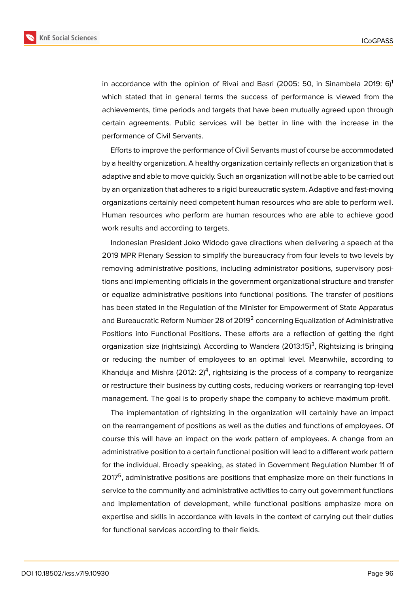

in accordance with the opinion of Rivai and Basri (2005: 50, in Sinambela 2019: 6)<sup>1</sup> which stated that in general terms the success of performance is viewed from the achievements, time periods and targets that have been mutually agreed upon through certain agreements. Public services will be better in line with the increase in the performance of Civil Servants.

Efforts to improve the performance of Civil Servants must of course be accommodated by a healthy organization. A healthy organization certainly reflects an organization that is adaptive and able to move quickly. Such an organization will not be able to be carried out by an organization that adheres to a rigid bureaucratic system. Adaptive and fast-moving organizations certainly need competent human resources who are able to perform well. Human resources who perform are human resources who are able to achieve good work results and according to targets.

Indonesian President Joko Widodo gave directions when delivering a speech at the 2019 MPR Plenary Session to simplify the bureaucracy from four levels to two levels by removing administrative positions, including administrator positions, supervisory positions and implementing officials in the government organizational structure and transfer or equalize administrative positions into functional positions. The transfer of positions has been stated in the Regulation of the Minister for Empowerment of State Apparatus and Bureaucratic Reform Number 28 of 2019 $^{\rm 2}$  concerning Equalization of Administrative Positions into Functional Positions. These efforts are a reflection of getting the right organization size (rightsizing). According to Wandera (2013:15)<sup>3</sup>, Rightsizing is bringing or reducing the number of employees to an optimal level. Meanwhile, according to Khanduja and Mishra (2012: 2)<sup>4</sup>, rightsizing is the process of a company to reorganize or restructure their business by cutting costs, reducing workers or rearranging top-level management. The goal is to properly shape the company to achieve maximum profit.

The implementation of rightsizing in the organization will certainly have an impact on the rearrangement of positions as well as the duties and functions of employees. Of course this will have an impact on the work pattern of employees. A change from an administrative position to a certain functional position will lead to a different work pattern for the individual. Broadly speaking, as stated in Government Regulation Number 11 of 2017<sup>5</sup>, administrative positions are positions that emphasize more on their functions in service to the community and administrative activities to carry out government functions and implementation of development, while functional positions emphasize more on expertise and skills in accordance with levels in the context of carrying out their duties for functional services according to their fields.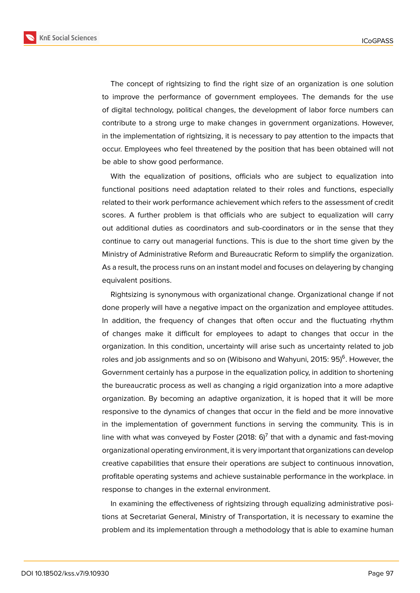**KnE Social Sciences** 



The concept of rightsizing to find the right size of an organization is one solution to improve the performance of government employees. The demands for the use of digital technology, political changes, the development of labor force numbers can contribute to a strong urge to make changes in government organizations. However, in the implementation of rightsizing, it is necessary to pay attention to the impacts that occur. Employees who feel threatened by the position that has been obtained will not be able to show good performance.

With the equalization of positions, officials who are subject to equalization into functional positions need adaptation related to their roles and functions, especially related to their work performance achievement which refers to the assessment of credit scores. A further problem is that officials who are subject to equalization will carry out additional duties as coordinators and sub-coordinators or in the sense that they continue to carry out managerial functions. This is due to the short time given by the Ministry of Administrative Reform and Bureaucratic Reform to simplify the organization. As a result, the process runs on an instant model and focuses on delayering by changing equivalent positions.

Rightsizing is synonymous with organizational change. Organizational change if not done properly will have a negative impact on the organization and employee attitudes. In addition, the frequency of changes that often occur and the fluctuating rhythm of changes make it difficult for employees to adapt to changes that occur in the organization. In this condition, uncertainty will arise such as uncertainty related to job roles and job assignments and so on (Wibisono and Wahyuni, 2015: 95)<sup>6</sup>. However, the Government certainly has a purpose in the equalization policy, in addition to shortening the bureaucratic process as well as changing a rigid organization into a more adaptive organization. By becoming an adaptive organization, it is hoped that it will be more responsive to the dynamics of changes that occur in the field and be more innovative in the implementation of government functions in serving the community. This is in line with what was conveyed by Foster (2018: 6) $^7$  that with a dynamic and fast-moving organizational operating environment, it is very important that organizations can develop creative capabilities that ensure their operations are subject to continuous innovation, profitable operating systems and achieve sustainable performance in the workplace. in response to changes in the external environment.

In examining the effectiveness of rightsizing through equalizing administrative positions at Secretariat General, Ministry of Transportation, it is necessary to examine the problem and its implementation through a methodology that is able to examine human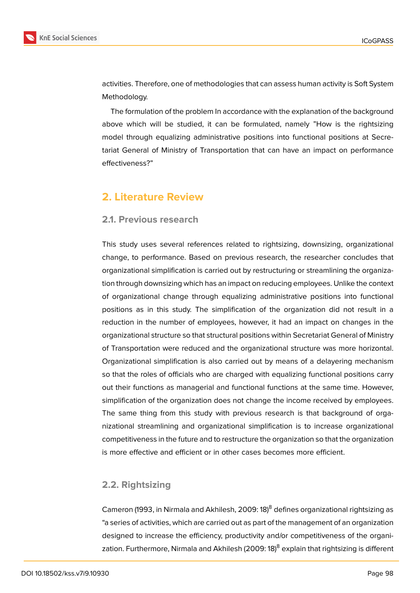

activities. Therefore, one of methodologies that can assess human activity is Soft System Methodology.

The formulation of the problem In accordance with the explanation of the background above which will be studied, it can be formulated, namely "How is the rightsizing model through equalizing administrative positions into functional positions at Secretariat General of Ministry of Transportation that can have an impact on performance effectiveness?"

## **2. Literature Review**

#### **2.1. Previous research**

This study uses several references related to rightsizing, downsizing, organizational change, to performance. Based on previous research, the researcher concludes that organizational simplification is carried out by restructuring or streamlining the organization through downsizing which has an impact on reducing employees. Unlike the context of organizational change through equalizing administrative positions into functional positions as in this study. The simplification of the organization did not result in a reduction in the number of employees, however, it had an impact on changes in the organizational structure so that structural positions within Secretariat General of Ministry of Transportation were reduced and the organizational structure was more horizontal. Organizational simplification is also carried out by means of a delayering mechanism so that the roles of officials who are charged with equalizing functional positions carry out their functions as managerial and functional functions at the same time. However, simplification of the organization does not change the income received by employees. The same thing from this study with previous research is that background of organizational streamlining and organizational simplification is to increase organizational competitiveness in the future and to restructure the organization so that the organization is more effective and efficient or in other cases becomes more efficient.

### **2.2. Rightsizing**

Cameron (1993, in Nirmala and Akhilesh, 2009: 18)<sup>8</sup> defines organizational rightsizing as "a series of activities, which are carried out as part of the management of an organization designed to increase the efficiency, productivity and/or competitiveness of the organization. Furthermore, Nirmala and Akhilesh (2009: 18)<sup>8</sup> explain that rightsizing is different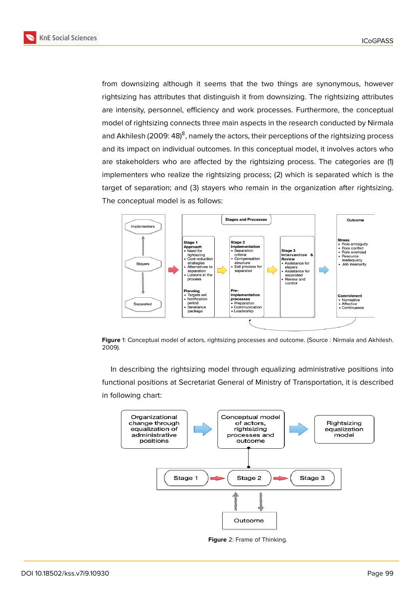**KnE Social Sciences** 



from downsizing although it seems that the two things are synonymous, however rightsizing has attributes that distinguish it from downsizing. The rightsizing attributes are intensity, personnel, efficiency and work processes. Furthermore, the conceptual model of rightsizing connects three main aspects in the research conducted by Nirmala and Akhilesh (2009: 48)<sup>8</sup>, namely the actors, their perceptions of the rightsizing process and its impact on individual outcomes. In this conceptual model, it involves actors who are stakeholders who are affected by the rightsizing process. The categories are (1) implementers who realize the rightsizing process; (2) which is separated which is the target of separation; and (3) stayers who remain in the organization after rightsizing. The conceptual model is as follows:



**Figure** 1: Conceptual model of actors, rightsizing processes and outcome. (Source : Nirmala and Akhilesh. 2009).

In describing the rightsizing model through equalizing administrative positions into functional positions at Secretariat General of Ministry of Transportation, it is described in following chart:



**Figure** 2: Frame of Thinking.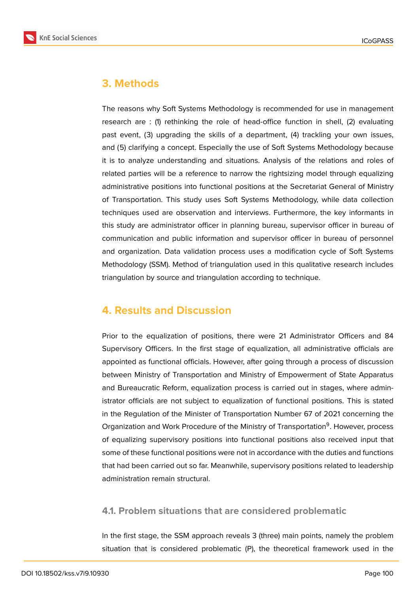

## **3. Methods**

The reasons why Soft Systems Methodology is recommended for use in management research are : (1) rethinking the role of head-office function in shell, (2) evaluating past event, (3) upgrading the skills of a department, (4) trackling your own issues, and (5) clarifying a concept. Especially the use of Soft Systems Methodology because it is to analyze understanding and situations. Analysis of the relations and roles of related parties will be a reference to narrow the rightsizing model through equalizing administrative positions into functional positions at the Secretariat General of Ministry of Transportation. This study uses Soft Systems Methodology, while data collection techniques used are observation and interviews. Furthermore, the key informants in this study are administrator officer in planning bureau, supervisor officer in bureau of communication and public information and supervisor officer in bureau of personnel and organization. Data validation process uses a modification cycle of Soft Systems Methodology (SSM). Method of triangulation used in this qualitative research includes triangulation by source and triangulation according to technique.

## **4. Results and Discussion**

Prior to the equalization of positions, there were 21 Administrator Officers and 84 Supervisory Officers. In the first stage of equalization, all administrative officials are appointed as functional officials. However, after going through a process of discussion between Ministry of Transportation and Ministry of Empowerment of State Apparatus and Bureaucratic Reform, equalization process is carried out in stages, where administrator officials are not subject to equalization of functional positions. This is stated in the Regulation of the Minister of Transportation Number 67 of 2021 concerning the Organization and Work Procedure of the Ministry of Transportation<sup>9</sup>. However, process of equalizing supervisory positions into functional positions also received input that some of these functional positions were not in accordance with the duties and functions that had been carried out so far. Meanwhile, supervisory positions related to leadership administration remain structural.

### **4.1. Problem situations that are considered problematic**

In the first stage, the SSM approach reveals 3 (three) main points, namely the problem situation that is considered problematic (P), the theoretical framework used in the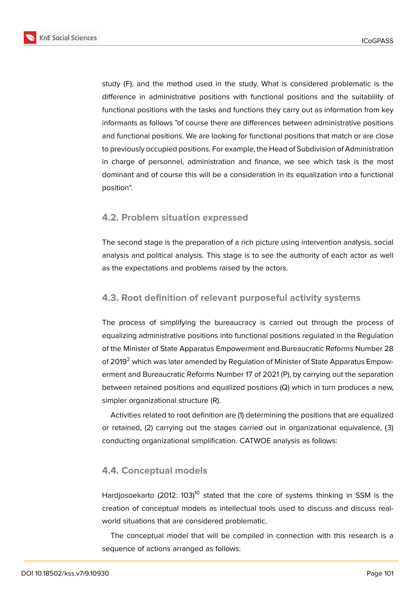**KnE Social Sciences** 



study (F), and the method used in the study. What is considered problematic is the difference in administrative positions with functional positions and the suitability of functional positions with the tasks and functions they carry out as information from key informants as follows "of course there are differences between administrative positions and functional positions. We are looking for functional positions that match or are close to previously occupied positions. For example, the Head of Subdivision of Administration in charge of personnel, administration and finance, we see which task is the most dominant and of course this will be a consideration in its equalization into a functional

### **4.2. Problem situation expressed**

position".

The second stage is the preparation of a rich picture using intervention analysis, social analysis and political analysis. This stage is to see the authority of each actor as well as the expectations and problems raised by the actors.

### **4.3. Root definition of relevant purposeful activity systems**

The process of simplifying the bureaucracy is carried out through the process of equalizing administrative positions into functional positions regulated in the Regulation of the Minister of State Apparatus Empowerment and Bureaucratic Reforms Number 28 of 2019<sup>2</sup> which was later amended by Regulation of Minister of State Apparatus Empowerment and Bureaucratic Reforms Number 17 of 2021 (P), by carrying out the separation between retained positions and equalized positions (Q) which in turn produces a new, simpler organizational structure (R).

Activities related to root definition are (1) determining the positions that are equalized or retained, (2) carrying out the stages carried out in organizational equivalence, (3) conducting organizational simplification. CATWOE analysis as follows:

### **4.4. Conceptual models**

Hardjosoekarto (2012: 103)<sup>10</sup> stated that the core of systems thinking in SSM is the creation of conceptual models as intellectual tools used to discuss and discuss realworld situations that are considered problematic.

The conceptual model that will be compiled in connection with this research is a sequence of actions arranged as follows: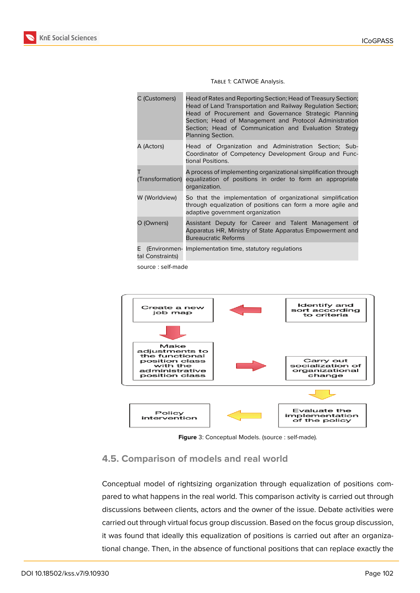

| C (Customers)          | Head of Rates and Reporting Section; Head of Treasury Section;<br>Head of Land Transportation and Railway Regulation Section;<br>Head of Procurement and Governance Strategic Planning<br>Section; Head of Management and Protocol Administration<br>Section; Head of Communication and Evaluation Strategy<br>Planning Section. |
|------------------------|----------------------------------------------------------------------------------------------------------------------------------------------------------------------------------------------------------------------------------------------------------------------------------------------------------------------------------|
| A (Actors)             | Head of Organization and Administration Section; Sub-<br>Coordinator of Competency Development Group and Func-<br>tional Positions.                                                                                                                                                                                              |
| (Transformation)       | A process of implementing organizational simplification through<br>equalization of positions in order to form an appropriate<br>organization.                                                                                                                                                                                    |
| W (Worldview)          | So that the implementation of organizational simplification<br>through equalization of positions can form a more agile and<br>adaptive government organization                                                                                                                                                                   |
| O (Owners)             | Assistant Deputy for Career and Talent Management of<br>Apparatus HR, Ministry of State Apparatus Empowerment and<br><b>Bureaucratic Reforms</b>                                                                                                                                                                                 |
| E.<br>tal Constraints) | (Environmen- Implementation time, statutory regulations                                                                                                                                                                                                                                                                          |

#### Table 1: CATWOE Analysis.

source : self-made



**Figure** 3: Conceptual Models. (source : self-made).

### **4.5. Comparison of models and real world**

Conceptual model of rightsizing organization through equalization of positions compared to what happens in the real world. This comparison activity is carried out through discussions between clients, actors and the owner of the issue. Debate activities were carried out through virtual focus group discussion. Based on the focus group discussion, it was found that ideally this equalization of positions is carried out after an organizational change. Then, in the absence of functional positions that can replace exactly the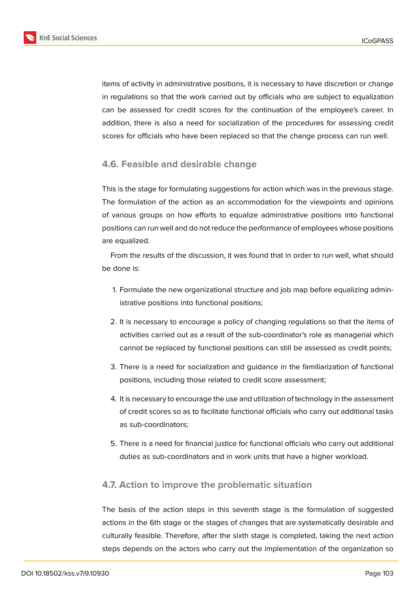

items of activity in administrative positions, it is necessary to have discretion or change in regulations so that the work carried out by officials who are subject to equalization can be assessed for credit scores for the continuation of the employee's career. In addition, there is also a need for socialization of the procedures for assessing credit scores for officials who have been replaced so that the change process can run well.

### **4.6. Feasible and desirable change**

This is the stage for formulating suggestions for action which was in the previous stage. The formulation of the action as an accommodation for the viewpoints and opinions of various groups on how efforts to equalize administrative positions into functional positions can run well and do not reduce the performance of employees whose positions are equalized.

From the results of the discussion, it was found that in order to run well, what should be done is:

- 1. Formulate the new organizational structure and job map before equalizing administrative positions into functional positions;
- 2. It is necessary to encourage a policy of changing regulations so that the items of activities carried out as a result of the sub-coordinator's role as managerial which cannot be replaced by functional positions can still be assessed as credit points;
- 3. There is a need for socialization and guidance in the familiarization of functional positions, including those related to credit score assessment;
- 4. It is necessary to encourage the use and utilization of technology in the assessment of credit scores so as to facilitate functional officials who carry out additional tasks as sub-coordinators;
- 5. There is a need for financial justice for functional officials who carry out additional duties as sub-coordinators and in work units that have a higher workload.

#### **4.7. Action to improve the problematic situation**

The basis of the action steps in this seventh stage is the formulation of suggested actions in the 6th stage or the stages of changes that are systematically desirable and culturally feasible. Therefore, after the sixth stage is completed, taking the next action steps depends on the actors who carry out the implementation of the organization so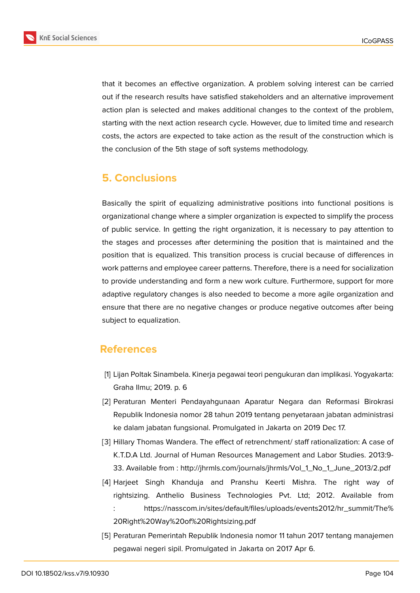that it becomes an effective organization. A problem solving interest can be carried out if the research results have satisfied stakeholders and an alternative improvement action plan is selected and makes additional changes to the context of the problem, starting with the next action research cycle. However, due to limited time and research costs, the actors are expected to take action as the result of the construction which is the conclusion of the 5th stage of soft systems methodology.

## **5. Conclusions**

Basically the spirit of equalizing administrative positions into functional positions is organizational change where a simpler organization is expected to simplify the process of public service. In getting the right organization, it is necessary to pay attention to the stages and processes after determining the position that is maintained and the position that is equalized. This transition process is crucial because of differences in work patterns and employee career patterns. Therefore, there is a need for socialization to provide understanding and form a new work culture. Furthermore, support for more adaptive regulatory changes is also needed to become a more agile organization and ensure that there are no negative changes or produce negative outcomes after being subject to equalization.

### **References**

- [1] Lijan Poltak Sinambela. Kinerja pegawai teori pengukuran dan implikasi. Yogyakarta: Graha Ilmu; 2019. p. 6
- [2] Peraturan Menteri Pendayahgunaan Aparatur Negara dan Reformasi Birokrasi Republik Indonesia nomor 28 tahun 2019 tentang penyetaraan jabatan administrasi ke dalam jabatan fungsional. Promulgated in Jakarta on 2019 Dec 17.
- [3] Hillary Thomas Wandera. The effect of retrenchment/ staff rationalization: A case of K.T.D.A Ltd. Journal of Human Resources Management and Labor Studies. 2013:9- 33. Available from : http://jhrmls.com/journals/jhrmls/Vol\_1\_No\_1\_June\_2013/2.pdf
- [4] Harjeet Singh Khanduja and Pranshu Keerti Mishra. The right way of rightsizing. Anthelio Business Technologies Pvt. Ltd; 2012. Available from : https://nas[scom.in/sites/default/files/uploads/events2012/hr\\_summit/The%](http://jhrmls.com/journals/jhrmls/Vol_1_No_1_June_2013/2.pdf) 20Right%20Way%20of%20Rightsizing.pdf
- [5] Peraturan Pemerintah Republik Indonesia nomor 11 tahun 2017 tentang manajemen [pegawai negeri sipil. Promulgated in Jakarta on 2017 Apr 6.](https://nasscom.in/sites/default/files/uploads/events2012/hr_summit/The%20Right%20Way%20of%20Rightsizing.pdf)